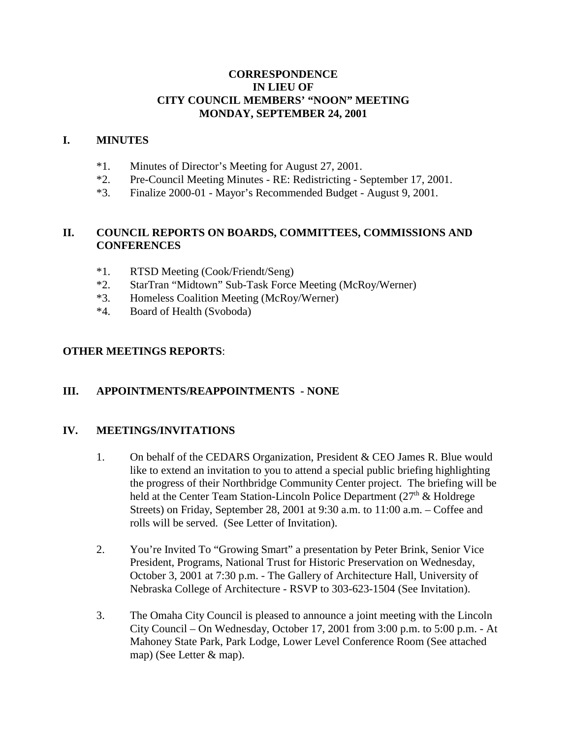# **CORRESPONDENCE IN LIEU OF CITY COUNCIL MEMBERS' "NOON" MEETING MONDAY, SEPTEMBER 24, 2001**

### **I. MINUTES**

- \*1. Minutes of Director's Meeting for August 27, 2001.
- \*2. Pre-Council Meeting Minutes RE: Redistricting September 17, 2001.
- \*3. Finalize 2000-01 Mayor's Recommended Budget August 9, 2001.

# **II. COUNCIL REPORTS ON BOARDS, COMMITTEES, COMMISSIONS AND CONFERENCES**

- \*1. RTSD Meeting (Cook/Friendt/Seng)
- \*2. StarTran "Midtown" Sub-Task Force Meeting (McRoy/Werner)
- \*3. Homeless Coalition Meeting (McRoy/Werner)
- \*4. Board of Health (Svoboda)

# **OTHER MEETINGS REPORTS**:

# **III. APPOINTMENTS/REAPPOINTMENTS - NONE**

#### **IV. MEETINGS/INVITATIONS**

- 1. On behalf of the CEDARS Organization, President & CEO James R. Blue would like to extend an invitation to you to attend a special public briefing highlighting the progress of their Northbridge Community Center project. The briefing will be held at the Center Team Station-Lincoln Police Department  $(27<sup>th</sup> \&$  Holdrege Streets) on Friday, September 28, 2001 at 9:30 a.m. to 11:00 a.m. – Coffee and rolls will be served. (See Letter of Invitation).
- 2. You're Invited To "Growing Smart" a presentation by Peter Brink, Senior Vice President, Programs, National Trust for Historic Preservation on Wednesday, October 3, 2001 at 7:30 p.m. - The Gallery of Architecture Hall, University of Nebraska College of Architecture - RSVP to 303-623-1504 (See Invitation).
- 3. The Omaha City Council is pleased to announce a joint meeting with the Lincoln City Council – On Wednesday, October 17, 2001 from 3:00 p.m. to 5:00 p.m. - At Mahoney State Park, Park Lodge, Lower Level Conference Room (See attached map) (See Letter & map).